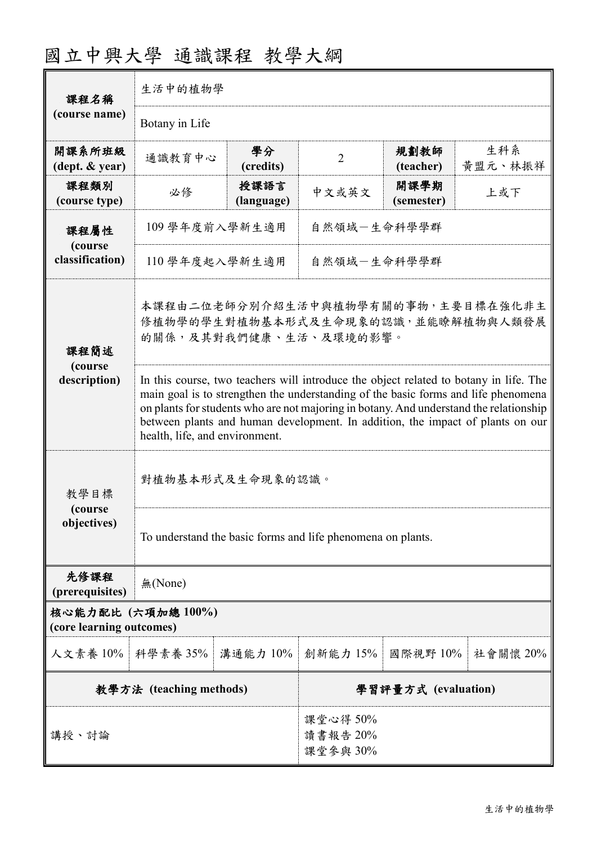| 課程名稱                                       | 生活中的植物學                                                                                                                                                                                                                                                                                                                                                                                   |                     |                |                    |                |  |
|--------------------------------------------|-------------------------------------------------------------------------------------------------------------------------------------------------------------------------------------------------------------------------------------------------------------------------------------------------------------------------------------------------------------------------------------------|---------------------|----------------|--------------------|----------------|--|
| (course name)                              | Botany in Life                                                                                                                                                                                                                                                                                                                                                                            |                     |                |                    |                |  |
| 開課系所班級<br>$(\text{dept.} \& \text{ year})$ | 通識教育中心                                                                                                                                                                                                                                                                                                                                                                                    | 學分<br>(credits)     | $\overline{2}$ | 規劃教師<br>(teacher)  | 生科系<br>黄盟元、林振祥 |  |
| 課程類別<br>(course type)                      | 必修                                                                                                                                                                                                                                                                                                                                                                                        | 授課語言<br>(language)  | 中文或英文          | 開課學期<br>(semester) | 上或下            |  |
| 課程屬性                                       | 109學年度前入學新生適用<br>自然領域一生命科學學群                                                                                                                                                                                                                                                                                                                                                              |                     |                |                    |                |  |
| (course<br>classification)<br>課程簡述         | 110 學年度起入學新生適用<br>自然領域一生命科學學群                                                                                                                                                                                                                                                                                                                                                             |                     |                |                    |                |  |
|                                            | 本課程由二位老師分別介紹生活中與植物學有關的事物,主要目標在強化非主<br>修植物學的學生對植物基本形式及生命現象的認識,並能瞭解植物與人類發展<br>的關係,及其對我們健康、生活、及環境的影響。                                                                                                                                                                                                                                                                                        |                     |                |                    |                |  |
| (course<br>description)                    | In this course, two teachers will introduce the object related to botany in life. The<br>main goal is to strengthen the understanding of the basic forms and life phenomena<br>on plants for students who are not majoring in botany. And understand the relationship<br>between plants and human development. In addition, the impact of plants on our<br>health, life, and environment. |                     |                |                    |                |  |
| 教學目標                                       | 對植物基本形式及生命現象的認識。                                                                                                                                                                                                                                                                                                                                                                          |                     |                |                    |                |  |
| (course)<br>objectives)                    | To understand the basic forms and life phenomena on plants.                                                                                                                                                                                                                                                                                                                               |                     |                |                    |                |  |
| 先修課程<br>(prerequisites)                    | 無(None)                                                                                                                                                                                                                                                                                                                                                                                   |                     |                |                    |                |  |
| (core learning outcomes)                   | 核心能力配比 (六項加總 100%)                                                                                                                                                                                                                                                                                                                                                                        |                     |                |                    |                |  |
| 人文素養 10%   科學素養 35%                        |                                                                                                                                                                                                                                                                                                                                                                                           | 溝通能力 10%            | 創新能力 15%       | 國際視野 10%           | 社會關懷 20%       |  |
| 教學方法 (teaching methods)                    |                                                                                                                                                                                                                                                                                                                                                                                           | 學習評量方式 (evaluation) |                |                    |                |  |
|                                            |                                                                                                                                                                                                                                                                                                                                                                                           |                     | 課堂心得 50%       |                    |                |  |

讀書報告 20% 課堂參與 30%

# 國立中興大學 通識課程 教學大綱

講授、討論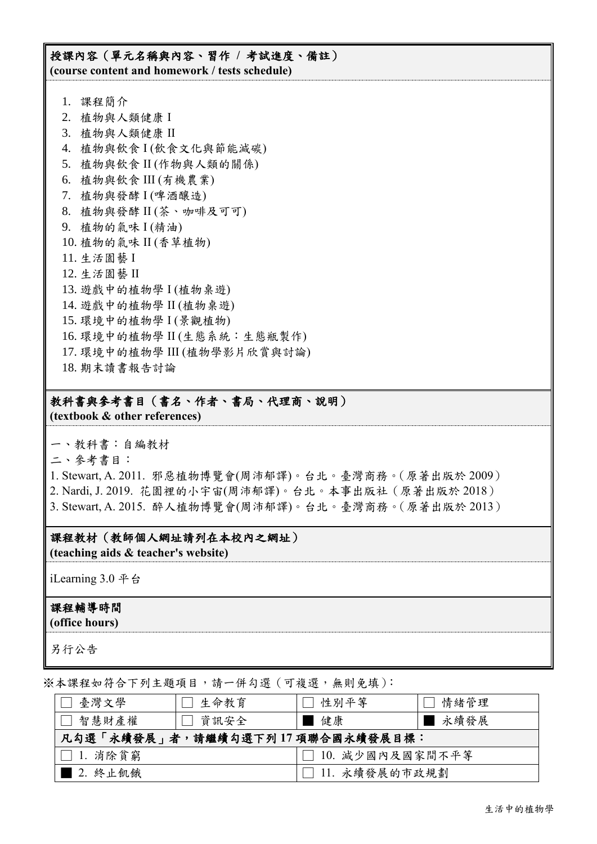## 授課內容(單元名稱與內容、習作 **/** 考試進度、備註) **(course content and homework / tests schedule)**

- 1. 課程簡介
- 2. 植物與人類健康 I
- 3. 植物與人類健康 II
- 4. 植物與飲食 I (飲食文化與節能減碳)
- 5. 植物與飲食 II (作物與人類的關係)
- 6. 植物與飲食 III (有機農業)
- 7. 植物與發酵 I (啤酒釀造)
- 8. 植物與發酵 II (茶、咖啡及可可)
- 9. 植物的氣味 I (精油)
- 10. 植物的氣味 II (香草植物)
- 11. 生活園藝 I
- 12. 生活園藝 II
- 13. 遊戲中的植物學 I (植物桌遊)
- 14. 遊戲中的植物學 II (植物桌遊)
- 15. 環境中的植物學 I (景觀植物)
- 16. 環境中的植物學 II (生態系統:生態瓶製作)
- 17. 環境中的植物學 III (植物學影片欣賞與討論)
- 18. 期末讀書報告討論

# 教科書與參考書目(書名、作者、書局、代理商、說明)

**(textbook & other references)**

一、教科書:自編教材

二、參考書目:

1. Stewart, A. 2011. 邪惡植物博覽會(周沛郁譯)。台北。臺灣商務。(原著出版於 2009) 2. Nardi, J. 2019. 花園裡的小宇宙(周沛郁譯)。台北。本事出版社(原著出版於 2018) 3. Stewart, A. 2015. 醉人植物博覽會(周沛郁譯)。台北。臺灣商務。(原著出版於 2013)

### 課程教材(教師個人網址請列在本校內之網址)

**(teaching aids & teacher's website)**

iLearning 3.0 平台

#### 課程輔導時間

**(office hours)**

另行公告

※本課程如符合下列主題項目,請一併勾選(可複選,無則免填):

| □ 臺灣文學                          | □ 生命教育 | 性別平等              | 情緒管理   |  |  |
|---------------------------------|--------|-------------------|--------|--|--|
| □ 智慧財產權                         | □ 資訊安全 | ■健康               | ■ 永續發展 |  |  |
| 凡勾選「永續發展」者,請繼續勾選下列17項聯合國永續發展目標: |        |                   |        |  |  |
| $\Box$ 1. 消除貧窮                  |        | □ 10. 減少國內及國家間不平等 |        |  |  |
| ▌2. 終止飢餓                        |        | □ 11. 永續發展的市政規劃   |        |  |  |